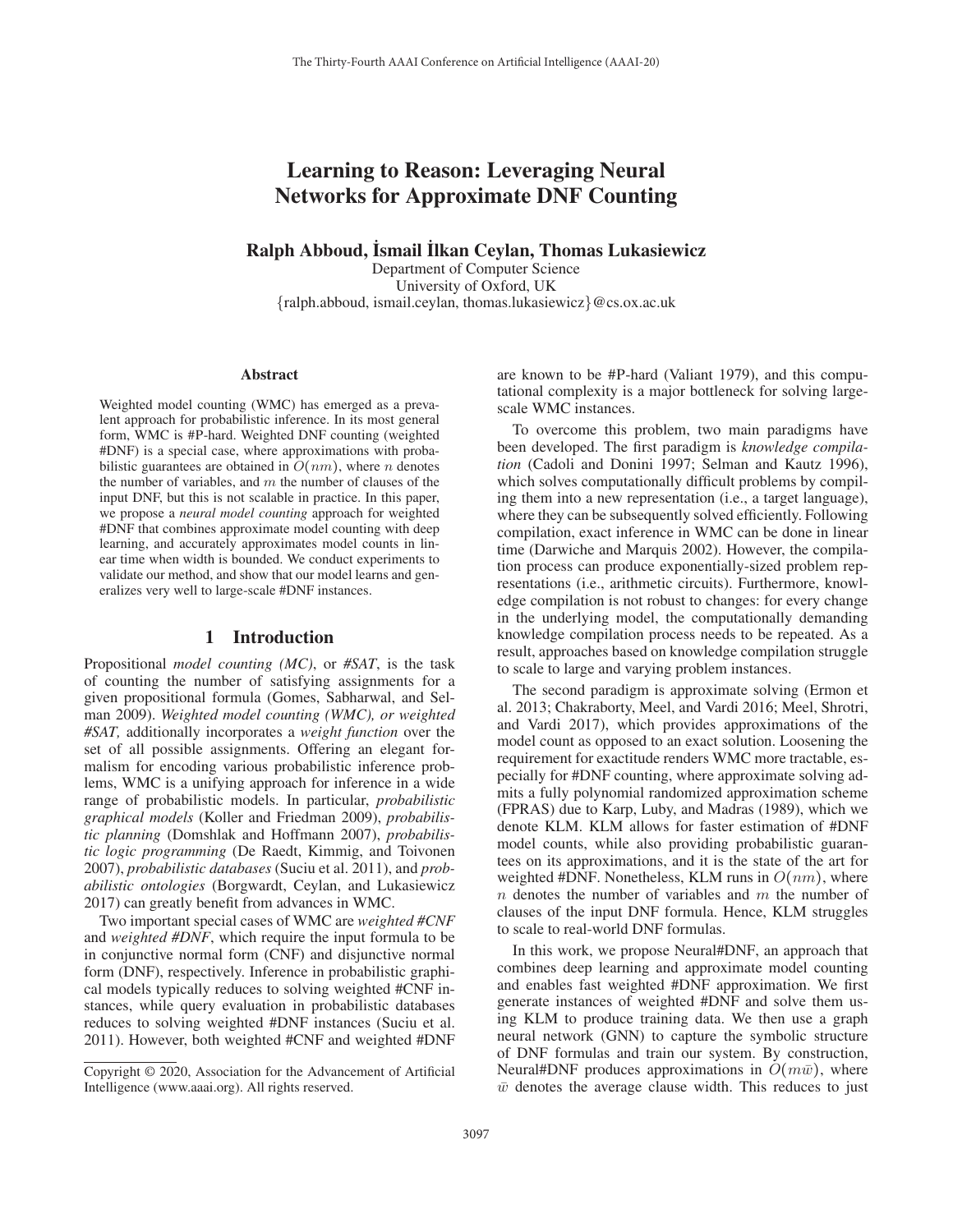# Learning to Reason: Leveraging Neural Networks for Approximate DNF Counting

# Ralph Abboud, İsmail İlkan Ceylan, Thomas Lukasiewicz

Department of Computer Science University of Oxford, UK {ralph.abboud, ismail.ceylan, thomas.lukasiewicz}@cs.ox.ac.uk

#### **Abstract**

Weighted model counting (WMC) has emerged as a prevalent approach for probabilistic inference. In its most general form, WMC is #P-hard. Weighted DNF counting (weighted #DNF) is a special case, where approximations with probabilistic guarantees are obtained in  $O(nm)$ , where *n* denotes the number of variables, and  $m$  the number of clauses of the input DNF, but this is not scalable in practice. In this paper, we propose a *neural model counting* approach for weighted #DNF that combines approximate model counting with deep learning, and accurately approximates model counts in linear time when width is bounded. We conduct experiments to validate our method, and show that our model learns and generalizes very well to large-scale #DNF instances.

#### 1 Introduction

Propositional *model counting (MC)*, or *#SAT*, is the task of counting the number of satisfying assignments for a given propositional formula (Gomes, Sabharwal, and Selman 2009). *Weighted model counting (WMC), or weighted #SAT,* additionally incorporates a *weight function* over the set of all possible assignments. Offering an elegant formalism for encoding various probabilistic inference problems, WMC is a unifying approach for inference in a wide range of probabilistic models. In particular, *probabilistic graphical models* (Koller and Friedman 2009), *probabilistic planning* (Domshlak and Hoffmann 2007), *probabilistic logic programming* (De Raedt, Kimmig, and Toivonen 2007), *probabilistic databases* (Suciu et al. 2011), and *probabilistic ontologies* (Borgwardt, Ceylan, and Lukasiewicz 2017) can greatly benefit from advances in WMC.

Two important special cases of WMC are *weighted #CNF* and *weighted #DNF*, which require the input formula to be in conjunctive normal form (CNF) and disjunctive normal form (DNF), respectively. Inference in probabilistic graphical models typically reduces to solving weighted #CNF instances, while query evaluation in probabilistic databases reduces to solving weighted #DNF instances (Suciu et al. 2011). However, both weighted #CNF and weighted #DNF

are known to be #P-hard (Valiant 1979), and this computational complexity is a major bottleneck for solving largescale WMC instances.

To overcome this problem, two main paradigms have been developed. The first paradigm is *knowledge compilation* (Cadoli and Donini 1997; Selman and Kautz 1996), which solves computationally difficult problems by compiling them into a new representation (i.e., a target language), where they can be subsequently solved efficiently. Following compilation, exact inference in WMC can be done in linear time (Darwiche and Marquis 2002). However, the compilation process can produce exponentially-sized problem representations (i.e., arithmetic circuits). Furthermore, knowledge compilation is not robust to changes: for every change in the underlying model, the computationally demanding knowledge compilation process needs to be repeated. As a result, approaches based on knowledge compilation struggle to scale to large and varying problem instances.

The second paradigm is approximate solving (Ermon et al. 2013; Chakraborty, Meel, and Vardi 2016; Meel, Shrotri, and Vardi 2017), which provides approximations of the model count as opposed to an exact solution. Loosening the requirement for exactitude renders WMC more tractable, especially for #DNF counting, where approximate solving admits a fully polynomial randomized approximation scheme (FPRAS) due to Karp, Luby, and Madras (1989), which we denote KLM. KLM allows for faster estimation of #DNF model counts, while also providing probabilistic guarantees on its approximations, and it is the state of the art for weighted #DNF. Nonetheless, KLM runs in  $O(nm)$ , where  $n$  denotes the number of variables and  $m$  the number of clauses of the input DNF formula. Hence, KLM struggles to scale to real-world DNF formulas.

In this work, we propose Neural#DNF, an approach that combines deep learning and approximate model counting and enables fast weighted #DNF approximation. We first generate instances of weighted #DNF and solve them using KLM to produce training data. We then use a graph neural network (GNN) to capture the symbolic structure of DNF formulas and train our system. By construction, Neural#DNF produces approximations in  $O(m\bar{w})$ , where  $\bar{w}$  denotes the average clause width. This reduces to just

Copyright © 2020, Association for the Advancement of Artificial Intelligence (www.aaai.org). All rights reserved.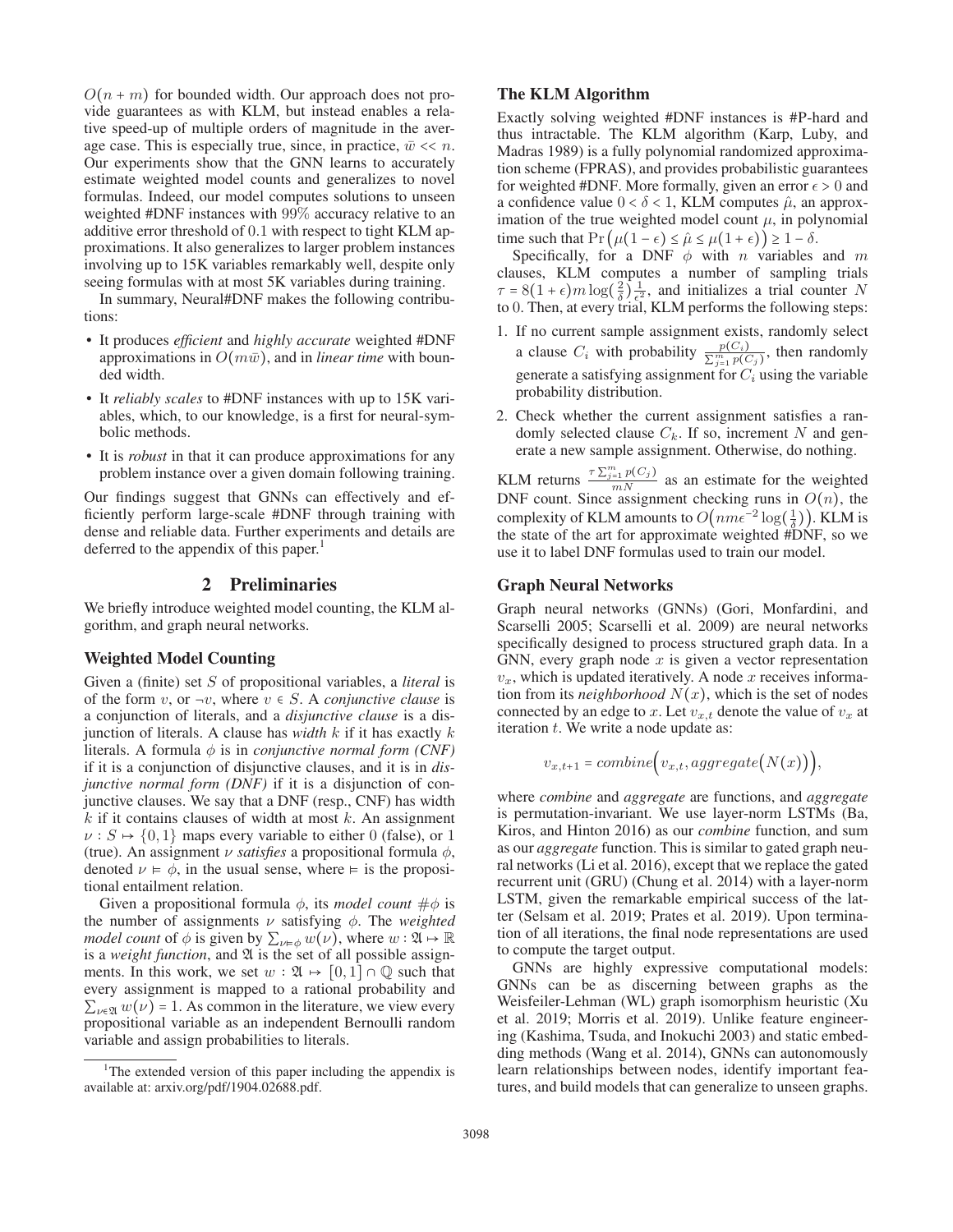$O(n + m)$  for bounded width. Our approach does not provide guarantees as with KLM, but instead enables a relative speed-up of multiple orders of magnitude in the average case. This is especially true, since, in practice,  $\bar{w} \ll n$ . Our experiments show that the GNN learns to accurately estimate weighted model counts and generalizes to novel formulas. Indeed, our model computes solutions to unseen weighted #DNF instances with 99% accuracy relative to an additive error threshold of 0.1 with respect to tight KLM approximations. It also generalizes to larger problem instances involving up to 15K variables remarkably well, despite only seeing formulas with at most 5K variables during training.

In summary, Neural#DNF makes the following contributions:

- It produces *efficient* and *highly accurate* weighted #DNF approximations in  $O(m\bar{w})$ , and in *linear time* with bounded width.
- It *reliably scales* to #DNF instances with up to 15K variables, which, to our knowledge, is a first for neural-symbolic methods.
- It is *robust* in that it can produce approximations for any problem instance over a given domain following training.

Our findings suggest that GNNs can effectively and efficiently perform large-scale #DNF through training with dense and reliable data. Further experiments and details are deferred to the appendix of this paper.<sup>1</sup>

## 2 Preliminaries

We briefly introduce weighted model counting, the KLM algorithm, and graph neural networks.

#### Weighted Model Counting

Given a (finite) set S of propositional variables, a *literal* is of the form v, or  $\neg v$ , where  $v \in S$ . A *conjunctive clause* is a conjunction of literals, and a *disjunctive clause* is a disjunction of literals. A clause has *width* k if it has exactly k literals. A formula  $\phi$  is in *conjunctive normal form (CNF)* if it is a conjunction of disjunctive clauses, and it is in *disjunctive normal form (DNF)* if it is a disjunction of conjunctive clauses. We say that a DNF (resp., CNF) has width  $k$  if it contains clauses of width at most  $k$ . An assignment  $\nu$  :  $S \mapsto \{0, 1\}$  maps every variable to either 0 (false), or 1 (true). An assignment  $\nu$  *satisfies* a propositional formula  $\phi$ , denoted  $\nu \models \phi$ , in the usual sense, where  $\models$  is the propositional entailment relation.

Given a propositional formula  $\phi$ , its *model count*  $\#\phi$  is the number of assignments  $\nu$  satisfying  $\phi$ . The *weighted model count* of  $\phi$  is given by  $\sum_{\nu \models \phi} w(\nu)$ , where  $w : \mathfrak{A} \mapsto \mathbb{R}$ is a *weight function*, and  $\mathfrak A$  is the set of all possible assignments. In this work, we set  $w : \mathfrak{A} \rightarrow [0,1] \cap \mathbb{Q}$  such that every assignment is mapped to a rational probability and  $\sum_{v \in \mathfrak{A}} w(v) = 1$ . As common in the literature, we view every propositional variable as an independent Bernoulli random variable and assign probabilities to literals.

#### The KLM Algorithm

Exactly solving weighted #DNF instances is #P-hard and thus intractable. The KLM algorithm (Karp, Luby, and Madras 1989) is a fully polynomial randomized approximation scheme (FPRAS), and provides probabilistic guarantees for weighted #DNF. More formally, given an error  $\epsilon > 0$  and a confidence value  $0 < \delta < 1$ , KLM computes  $\hat{\mu}$ , an approximation of the true weighted model count  $\mu$ , in polynomial time such that  $Pr(\mu(1 - \epsilon) \leq \hat{\mu} \leq \mu(1 + \epsilon)) \geq 1 - \delta$ .

Specifically, for a DNF  $\phi$  with n variables and m clauses, KLM computes a number of sampling trials  $\tau = 8(1+\epsilon)m\log(\frac{2}{\delta})\frac{1}{\epsilon^2}$ , and initializes a trial counter N<br>to 0. Then at every trial KLM performs the following steps: to 0. Then, at every trial, KLM performs the following steps:

- 1. If no current sample assignment exists, randomly select a clause  $C_i$  with probability  $\frac{p(C_i)}{\sum_{j=1}^m p(C_j)}$ , then randomly generate a satisfying assignment for  $C_i$  using the variable probability distribution.
- 2. Check whether the current assignment satisfies a randomly selected clause  $C_k$ . If so, increment N and generate a new sample assignment. Otherwise, do nothing.

KLM returns  $\frac{\tau \sum_{j=1}^{m} p(C_j)}{mN}$  as an estimate for the weighted DNF count. Since assignment checking runs in  $O(n)$ , the complexity of KLM amounts to  $O(nme^{-2}\log(\frac{1}{\delta}))$ . KLM is the state of the art for approximate weighted #DNF so we the state of the art for approximate weighted #DNF, so we use it to label DNF formulas used to train our model.

## Graph Neural Networks

Graph neural networks (GNNs) (Gori, Monfardini, and Scarselli 2005; Scarselli et al. 2009) are neural networks specifically designed to process structured graph data. In a GNN, every graph node  $x$  is given a vector representation  $v_x$ , which is updated iteratively. A node x receives information from its *neighborhood*  $N(x)$ , which is the set of nodes connected by an edge to x. Let  $v_{x,t}$  denote the value of  $v_x$  at iteration  $t$ . We write a node update as:

$$
v_{x,t+1} = combine(v_{x,t}, aggregate(N(x))),
$$

where *combine* and *aggregate* are functions, and *aggregate* is permutation-invariant. We use layer-norm LSTMs (Ba, Kiros, and Hinton 2016) as our *combine* function, and sum as our *aggregate* function. This is similar to gated graph neural networks (Li et al. 2016), except that we replace the gated recurrent unit (GRU) (Chung et al. 2014) with a layer-norm LSTM, given the remarkable empirical success of the latter (Selsam et al. 2019; Prates et al. 2019). Upon termination of all iterations, the final node representations are used to compute the target output.

GNNs are highly expressive computational models: GNNs can be as discerning between graphs as the Weisfeiler-Lehman (WL) graph isomorphism heuristic (Xu et al. 2019; Morris et al. 2019). Unlike feature engineering (Kashima, Tsuda, and Inokuchi 2003) and static embedding methods (Wang et al. 2014), GNNs can autonomously learn relationships between nodes, identify important features, and build models that can generalize to unseen graphs.

<sup>&</sup>lt;sup>1</sup>The extended version of this paper including the appendix is available at: arxiv.org/pdf/1904.02688.pdf.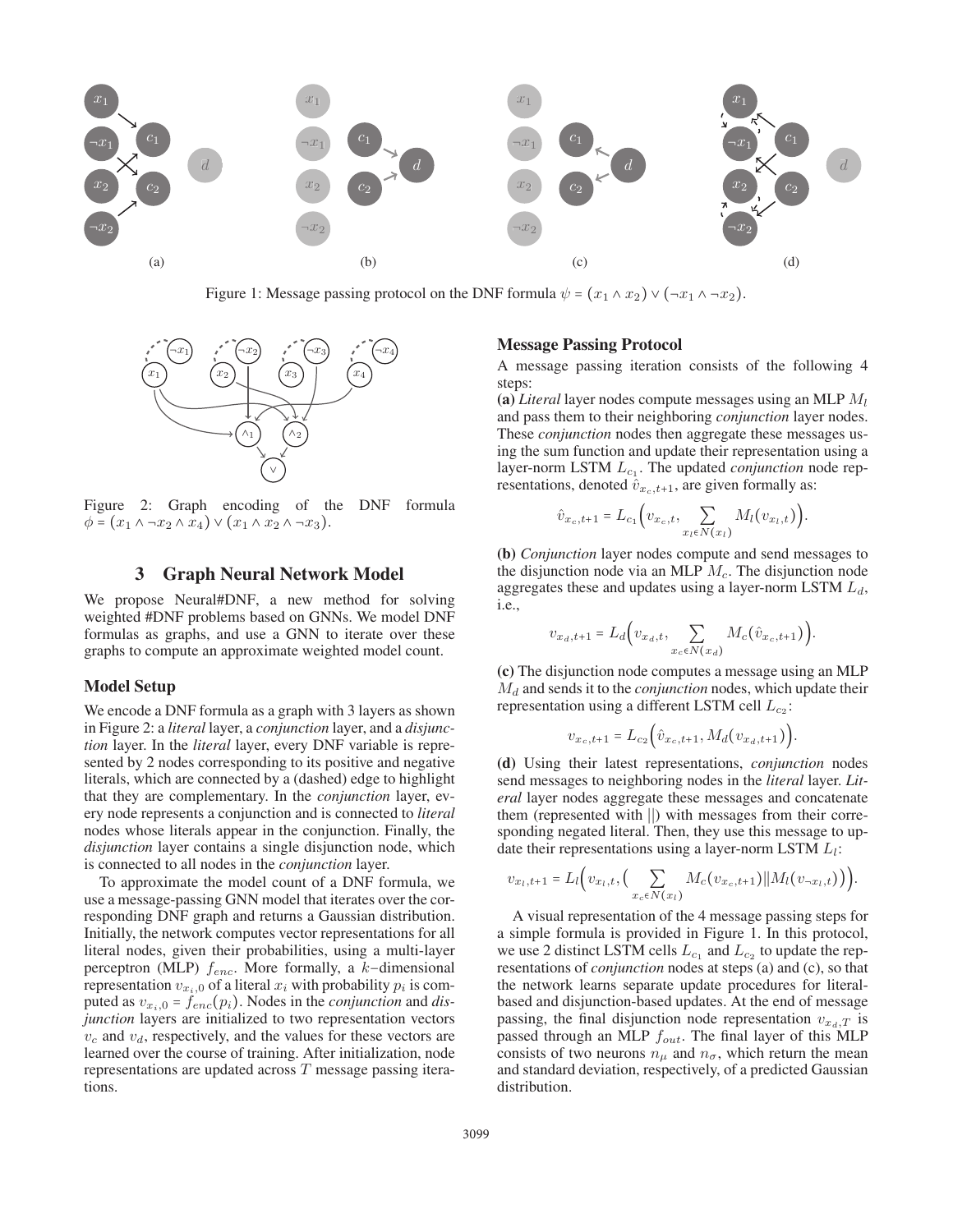

Figure 1: Message passing protocol on the DNF formula  $\psi = (x_1 \wedge x_2) \vee (\neg x_1 \wedge \neg x_2)$ .



Figure 2: Graph encoding of the DNF formula  $\phi = (x_1 \wedge \neg x_2 \wedge x_4) \vee (x_1 \wedge x_2 \wedge \neg x_3).$ 

## 3 Graph Neural Network Model

We propose Neural#DNF, a new method for solving weighted #DNF problems based on GNNs. We model DNF formulas as graphs, and use a GNN to iterate over these graphs to compute an approximate weighted model count.

#### Model Setup

We encode a DNF formula as a graph with 3 layers as shown in Figure 2: a *literal* layer, a *conjunction* layer, and a *disjunction* layer. In the *literal* layer, every DNF variable is represented by 2 nodes corresponding to its positive and negative literals, which are connected by a (dashed) edge to highlight that they are complementary. In the *conjunction* layer, every node represents a conjunction and is connected to *literal* nodes whose literals appear in the conjunction. Finally, the *disjunction* layer contains a single disjunction node, which is connected to all nodes in the *conjunction* layer.

To approximate the model count of a DNF formula, we use a message-passing GNN model that iterates over the corresponding DNF graph and returns a Gaussian distribution. Initially, the network computes vector representations for all literal nodes, given their probabilities, using a multi-layer perceptron (MLP) fenc. More formally, a k−dimensional representation  $v_{x_i,0}$  of a literal  $x_i$  with probability  $p_i$  is computed as  $v_{x_i,0} = f_{enc}(p_i)$ . Nodes in the *conjunction* and *disjunction* layers are initialized to two representation vectors  $v_c$  and  $v_d$ , respectively, and the values for these vectors are learned over the course of training. After initialization, node representations are updated across T message passing iterations.

#### Message Passing Protocol

A message passing iteration consists of the following 4 steps:

(a) *Literal* layer nodes compute messages using an MLP M<sup>l</sup> and pass them to their neighboring *conjunction* layer nodes. These *conjunction* nodes then aggregate these messages using the sum function and update their representation using a layer-norm LSTM  $L_{c_1}$ . The updated *conjunction* node representations, denoted  $\hat{v}_{x_c,t+1}$ , are given formally as:

$$
\hat{v}_{x_c,t+1} = L_{c_1} \Big( v_{x_c,t}, \sum_{x_l \in N(x_l)} M_l(v_{x_l,t}) \Big).
$$

(b) *Conjunction* layer nodes compute and send messages to the disjunction node via an MLP  $M_c$ . The disjunction node aggregates these and updates using a layer-norm LSTM  $L_d$ , i.e.,

$$
v_{x_d, t+1} = L_d \Big( v_{x_d, t}, \sum_{x_c \in N(x_d)} M_c(\hat{v}_{x_c, t+1}) \Big).
$$

(c) The disjunction node computes a message using an MLP  $M_d$  and sends it to the *conjunction* nodes, which update their representation using a different LSTM cell  $L_{c2}$ :

$$
v_{x_c,t+1} = L_{c_2} \Big( \hat{v}_{x_c,t+1}, M_d(v_{x_d,t+1}) \Big).
$$

(d) Using their latest representations, *conjunction* nodes send messages to neighboring nodes in the *literal* layer. *Literal* layer nodes aggregate these messages and concatenate them (represented with ∣∣) with messages from their corresponding negated literal. Then, they use this message to update their representations using a layer-norm LSTM  $L_l$ :

$$
v_{x_l,t+1} = L_l(v_{x_l,t},\Big(\sum_{x_c \in N(x_l)} M_c(v_{x_c,t+1}) || M_l(v_{\neg x_l,t})\Big)\Big).
$$

A visual representation of the 4 message passing steps for a simple formula is provided in Figure 1. In this protocol, we use 2 distinct LSTM cells  $L_{c_1}$  and  $L_{c_2}$  to update the representations of *conjunction* nodes at steps (a) and (c), so that the network learns separate update procedures for literalbased and disjunction-based updates. At the end of message passing, the final disjunction node representation  $v_{x_d,T}$  is passed through an MLP  $f_{out}$ . The final layer of this MLP consists of two neurons  $n_{\mu}$  and  $n_{\sigma}$ , which return the mean and standard deviation, respectively, of a predicted Gaussian distribution.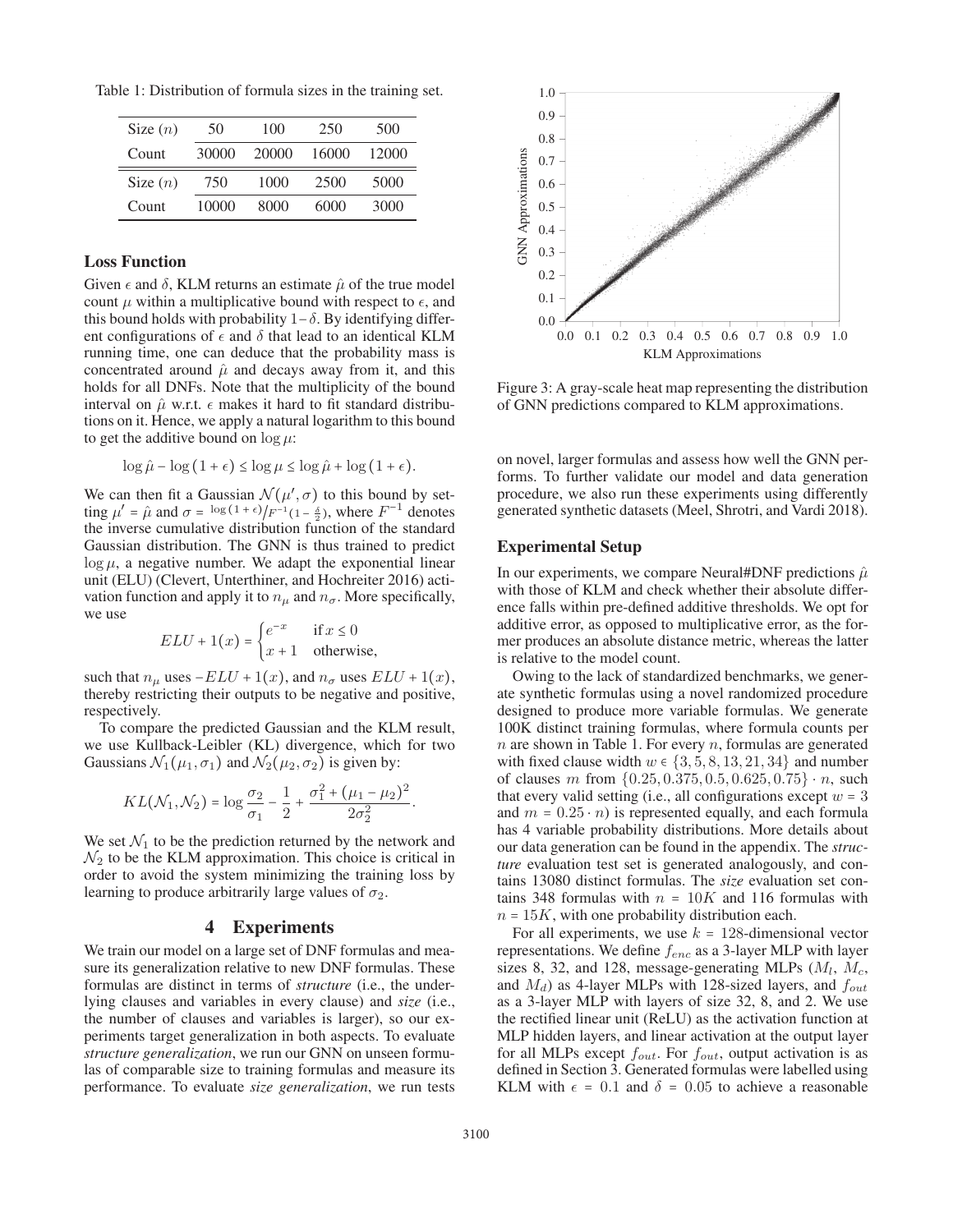Table 1: Distribution of formula sizes in the training set.

| Size $(n)$ | 50    | 100   | 250   | 500   |
|------------|-------|-------|-------|-------|
| Count      | 30000 | 20000 | 16000 | 12000 |
| Size $(n)$ | 750   | 1000  | 2500  | 5000  |
| Count      | 10000 | 8000  | 6000  | 3000  |

## Loss Function

Given  $\epsilon$  and  $\delta$ , KLM returns an estimate  $\hat{\mu}$  of the true model count  $\mu$  within a multiplicative bound with respect to  $\epsilon$ , and this bound holds with probability  $1-\delta$ . By identifying different configurations of  $\epsilon$  and  $\delta$  that lead to an identical KLM running time, one can deduce that the probability mass is concentrated around  $\hat{\mu}$  and decays away from it, and this holds for all DNFs. Note that the multiplicity of the bound interval on  $\hat{\mu}$  w.r.t.  $\epsilon$  makes it hard to fit standard distributions on it. Hence, we apply a natural logarithm to this bound to get the additive bound on  $\log \mu$ :

$$
\log \hat{\mu} - \log (1 + \epsilon) \le \log \mu \le \log \hat{\mu} + \log (1 + \epsilon).
$$

We can then fit a Gaussian  $\mathcal{N}(\mu', \sigma)$  to this bound by setting  $\mu' = \hat{\mu}$  and  $\sigma = \log(1+\epsilon)/F^{-1}(1-\frac{\delta}{2})$ , where  $F^{-1}$  denotes the inverse cumulative distribution function of the standard the inverse cumulative distribution function of the standard Gaussian distribution. The GNN is thus trained to predict  $\log \mu$ , a negative number. We adapt the exponential linear unit (ELU) (Clevert, Unterthiner, and Hochreiter 2016) activation function and apply it to  $n_{\mu}$  and  $n_{\sigma}$ . More specifically, we use

$$
ELU + 1(x) = \begin{cases} e^{-x} & \text{if } x \le 0\\ x+1 & \text{otherwise,} \end{cases}
$$

such that  $n_{\mu}$  uses  $-ELU + 1(x)$ , and  $n_{\sigma}$  uses  $ELU + 1(x)$ , thereby restricting their outputs to be negative and positive, respectively.

To compare the predicted Gaussian and the KLM result, we use Kullback-Leibler (KL) divergence, which for two Gaussians  $\mathcal{N}_1(\mu_1, \sigma_1)$  and  $\mathcal{N}_2(\mu_2, \sigma_2)$  is given by:

$$
KL(\mathcal{N}_1, \mathcal{N}_2) = \log \frac{\sigma_2}{\sigma_1} - \frac{1}{2} + \frac{\sigma_1^2 + (\mu_1 - \mu_2)^2}{2\sigma_2^2}
$$

We set  $\mathcal{N}_1$  to be the prediction returned by the network and  $\mathcal{N}_2$  to be the KLM approximation. This choice is critical in order to avoid the system minimizing the training loss by learning to produce arbitrarily large values of  $\sigma_2$ .

# 4 Experiments

We train our model on a large set of DNF formulas and measure its generalization relative to new DNF formulas. These formulas are distinct in terms of *structure* (i.e., the underlying clauses and variables in every clause) and *size* (i.e., the number of clauses and variables is larger), so our experiments target generalization in both aspects. To evaluate *structure generalization*, we run our GNN on unseen formulas of comparable size to training formulas and measure its performance. To evaluate *size generalization*, we run tests



Figure 3: A gray-scale heat map representing the distribution of GNN predictions compared to KLM approximations.

on novel, larger formulas and assess how well the GNN performs. To further validate our model and data generation procedure, we also run these experiments using differently generated synthetic datasets (Meel, Shrotri, and Vardi 2018).

## Experimental Setup

In our experiments, we compare Neural#DNF predictions  $\hat{\mu}$ with those of KLM and check whether their absolute difference falls within pre-defined additive thresholds. We opt for additive error, as opposed to multiplicative error, as the former produces an absolute distance metric, whereas the latter is relative to the model count.

Owing to the lack of standardized benchmarks, we generate synthetic formulas using a novel randomized procedure designed to produce more variable formulas. We generate 100K distinct training formulas, where formula counts per  $n$  are shown in Table 1. For every  $n$ , formulas are generated with fixed clause width  $w \in \{3, 5, 8, 13, 21, 34\}$  and number of clauses m from  $\{0.25, 0.375, 0.5, 0.625, 0.75\} \cdot n$ , such that every valid setting (i.e., all configurations except  $w = 3$ and  $m = 0.25 \cdot n$ ) is represented equally, and each formula has 4 variable probability distributions. More details about our data generation can be found in the appendix. The *structure* evaluation test set is generated analogously, and contains 13080 distinct formulas. The *size* evaluation set contains 348 formulas with  $n = 10K$  and 116 formulas with  $n = 15K$ , with one probability distribution each.

For all experiments, we use  $k = 128$ -dimensional vector representations. We define  $f_{enc}$  as a 3-layer MLP with layer sizes 8, 32, and 128, message-generating MLPs  $(M_l, M_c,$ and  $M_d$ ) as 4-layer MLPs with 128-sized layers, and  $f_{out}$ as a 3-layer MLP with layers of size 32, 8, and 2. We use the rectified linear unit (ReLU) as the activation function at MLP hidden layers, and linear activation at the output layer for all MLPs except  $f_{out}$ . For  $f_{out}$ , output activation is as defined in Section 3. Generated formulas were labelled using KLM with  $\epsilon = 0.1$  and  $\delta = 0.05$  to achieve a reasonable

.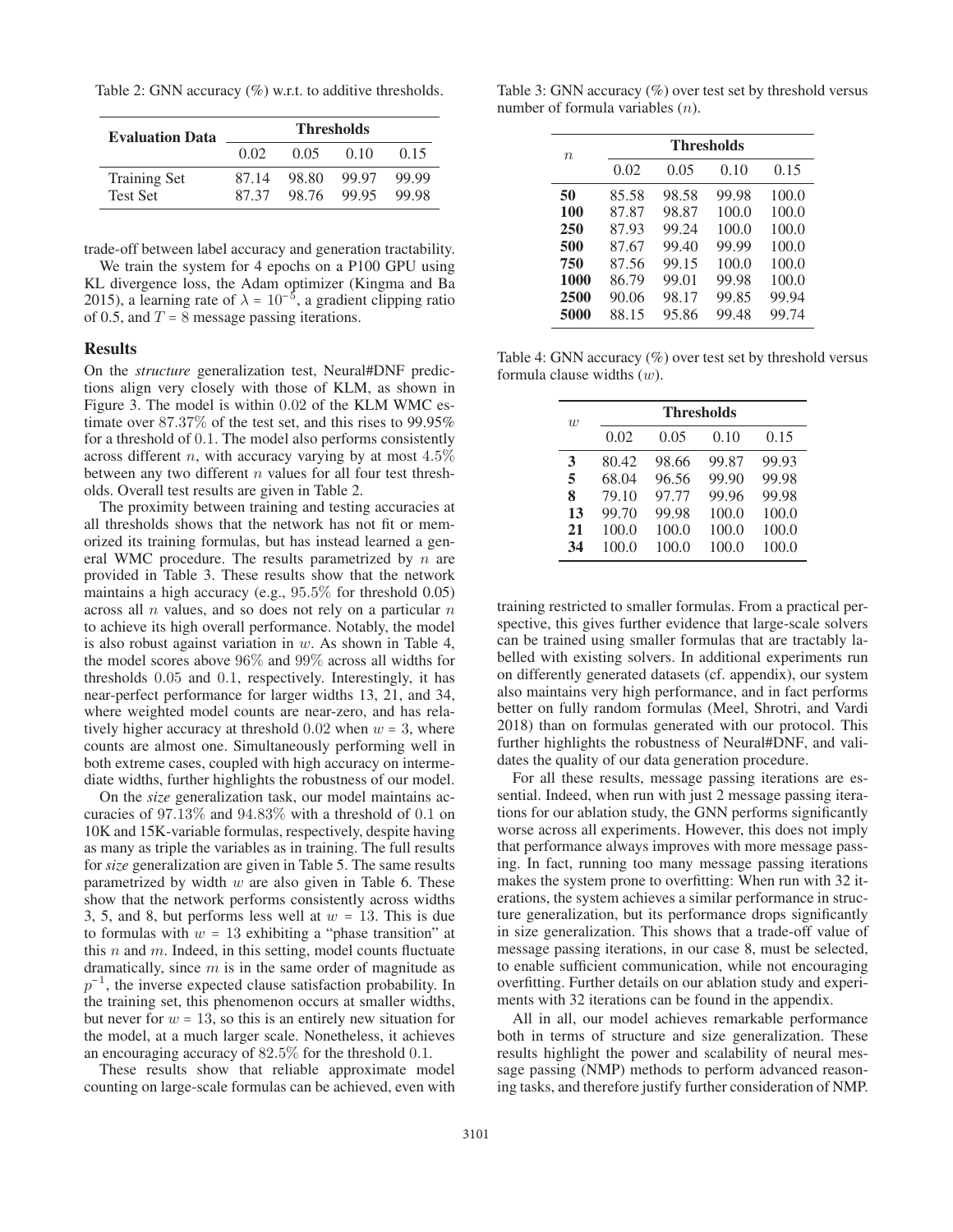Table 2: GNN accuracy (%) w.r.t. to additive thresholds.

| <b>Evaluation Data</b>                 | <b>Thresholds</b> |                |                |                |
|----------------------------------------|-------------------|----------------|----------------|----------------|
|                                        | 0.02              | 0.05           | (0.10)         | 0.15           |
| <b>Training Set</b><br><b>Test Set</b> | 87.14<br>8737     | 98.80<br>98.76 | 99.97<br>99.95 | 99.99<br>99.98 |

trade-off between label accuracy and generation tractability.

We train the system for 4 epochs on a P100 GPU using KL divergence loss, the Adam optimizer (Kingma and Ba 2015), a learning rate of  $\lambda = 10^{-5}$ , a gradient clipping ratio of 0.5, and  $T = 8$  message passing iterations.

#### Results

On the *structure* generalization test, Neural#DNF predictions align very closely with those of KLM, as shown in Figure 3. The model is within 0.02 of the KLM WMC estimate over 87.37% of the test set, and this rises to 99.95% for a threshold of 0.1. The model also performs consistently across different *n*, with accuracy varying by at most  $4.5\%$ between any two different  $n$  values for all four test thresholds. Overall test results are given in Table 2.

The proximity between training and testing accuracies at all thresholds shows that the network has not fit or memorized its training formulas, but has instead learned a general WMC procedure. The results parametrized by  $n$  are provided in Table 3. These results show that the network maintains a high accuracy (e.g., 95.5% for threshold 0.05) across all  $n$  values, and so does not rely on a particular  $n$ to achieve its high overall performance. Notably, the model is also robust against variation in  $w$ . As shown in Table 4, the model scores above 96% and 99% across all widths for thresholds 0.05 and 0.1, respectively. Interestingly, it has near-perfect performance for larger widths 13, 21, and 34, where weighted model counts are near-zero, and has relatively higher accuracy at threshold  $0.02$  when  $w = 3$ , where counts are almost one. Simultaneously performing well in both extreme cases, coupled with high accuracy on intermediate widths, further highlights the robustness of our model.

On the *size* generalization task, our model maintains accuracies of 97.13% and 94.83% with a threshold of 0.1 on 10K and 15K-variable formulas, respectively, despite having as many as triple the variables as in training. The full results for *size* generalization are given in Table 5. The same results parametrized by width  $w$  are also given in Table 6. These show that the network performs consistently across widths 3, 5, and 8, but performs less well at  $w = 13$ . This is due to formulas with  $w = 13$  exhibiting a "phase transition" at this  $n$  and  $m$ . Indeed, in this setting, model counts fluctuate dramatically, since  $m$  is in the same order of magnitude as  $p^{-1}$ , the inverse expected clause satisfaction probability. In the training set, this phenomenon occurs at smaller widths, but never for  $w = 13$ , so this is an entirely new situation for the model, at a much larger scale. Nonetheless, it achieves an encouraging accuracy of 82.5% for the threshold 0.1.

These results show that reliable approximate model counting on large-scale formulas can be achieved, even with

Table 3: GNN accuracy (%) over test set by threshold versus number of formula variables (n).

| $n_{\rm c}$ |       | <b>Thresholds</b> |       |       |  |  |
|-------------|-------|-------------------|-------|-------|--|--|
|             | 0.02  | 0.05              | 0.10  | 0.15  |  |  |
| 50          | 85.58 | 98.58             | 99.98 | 100.0 |  |  |
| 100         | 87.87 | 98.87             | 100.0 | 100.0 |  |  |
| 250         | 87.93 | 99.24             | 100.0 | 100.0 |  |  |
| 500         | 87.67 | 99.40             | 99.99 | 100.0 |  |  |
| 750         | 87.56 | 99.15             | 100.0 | 100.0 |  |  |
| 1000        | 86.79 | 99.01             | 99.98 | 100.0 |  |  |
| 2500        | 90.06 | 98.17             | 99.85 | 99.94 |  |  |
| 5000        | 88.15 | 95.86             | 99.48 | 99.74 |  |  |

Table 4: GNN accuracy (%) over test set by threshold versus formula clause widths  $(w)$ .

| $\overline{w}$ |       | <b>Thresholds</b> |       |       |  |  |  |
|----------------|-------|-------------------|-------|-------|--|--|--|
|                | 0.02  | 0.05              | 0.10  | 0.15  |  |  |  |
| 3              | 80.42 | 98.66             | 99.87 | 99.93 |  |  |  |
| 5              | 68.04 | 96.56             | 99.90 | 99.98 |  |  |  |
| 8              | 79.10 | 97.77             | 99.96 | 99.98 |  |  |  |
| 13             | 99.70 | 99.98             | 100.0 | 100.0 |  |  |  |
| 21             | 100.0 | 100.0             | 100.0 | 100.0 |  |  |  |
| 34             | 100.0 | 100.0             | 100.0 | 100.0 |  |  |  |

training restricted to smaller formulas. From a practical perspective, this gives further evidence that large-scale solvers can be trained using smaller formulas that are tractably labelled with existing solvers. In additional experiments run on differently generated datasets (cf. appendix), our system also maintains very high performance, and in fact performs better on fully random formulas (Meel, Shrotri, and Vardi 2018) than on formulas generated with our protocol. This further highlights the robustness of Neural#DNF, and validates the quality of our data generation procedure.

For all these results, message passing iterations are essential. Indeed, when run with just 2 message passing iterations for our ablation study, the GNN performs significantly worse across all experiments. However, this does not imply that performance always improves with more message passing. In fact, running too many message passing iterations makes the system prone to overfitting: When run with 32 iterations, the system achieves a similar performance in structure generalization, but its performance drops significantly in size generalization. This shows that a trade-off value of message passing iterations, in our case 8, must be selected, to enable sufficient communication, while not encouraging overfitting. Further details on our ablation study and experiments with 32 iterations can be found in the appendix.

All in all, our model achieves remarkable performance both in terms of structure and size generalization. These results highlight the power and scalability of neural message passing (NMP) methods to perform advanced reasoning tasks, and therefore justify further consideration of NMP.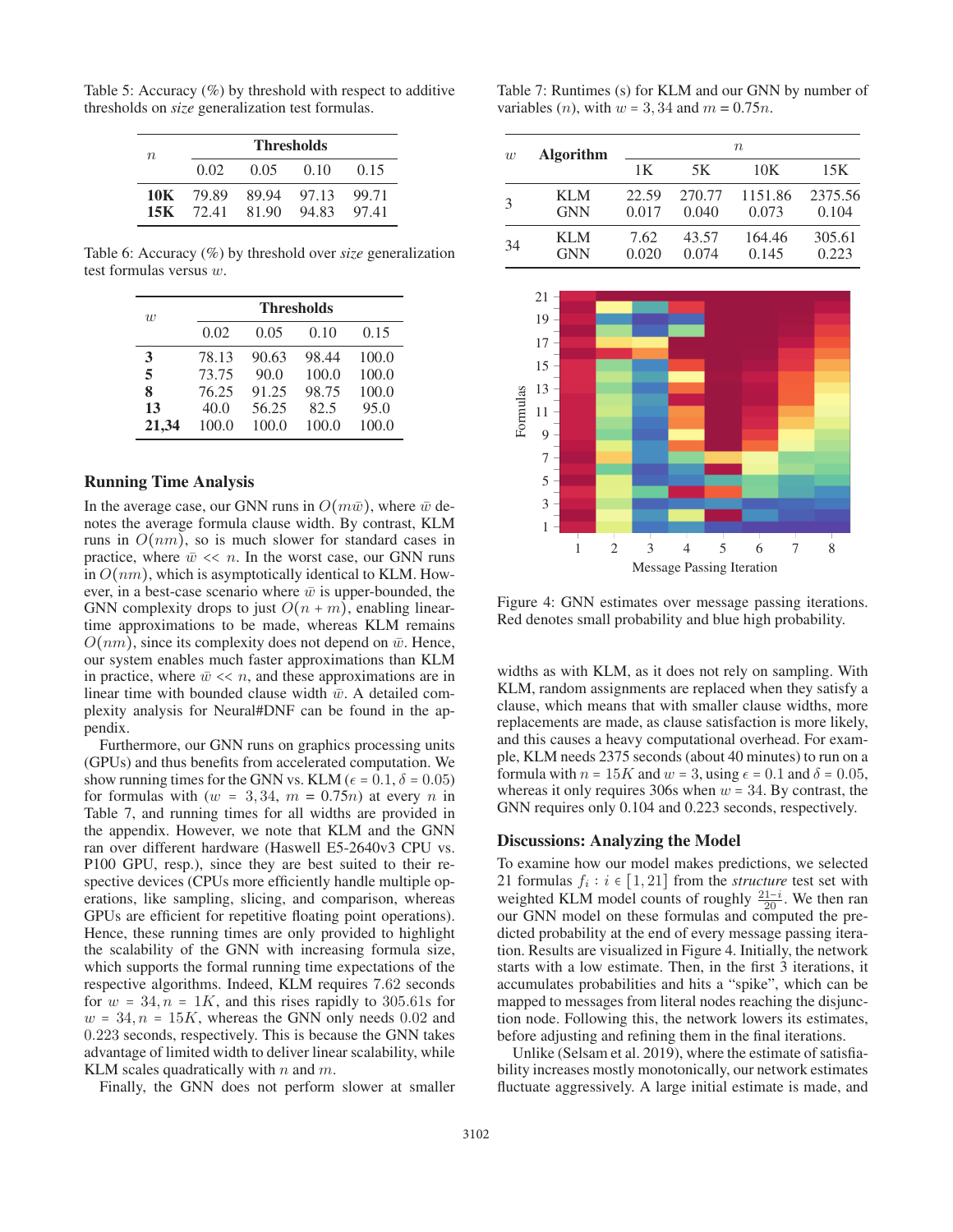| $n_{\rm}$ | <b>Thresholds</b> |             |       |       |  |
|-----------|-------------------|-------------|-------|-------|--|
|           | 0.02              | $0.05 -$    | 0.10  | 0.15  |  |
|           | 10K 79.89         | 89.94 97.13 |       | 99.71 |  |
|           | $15K$ 72.41       | 81.90       | 94.83 | 9741  |  |

Table 5: Accuracy (%) by threshold with respect to additive thresholds on *size* generalization test formulas.

Table 6: Accuracy (%) by threshold over *size* generalization test formulas versus w.

| $\overline{w}$ |       | <b>Thresholds</b> |       |       |  |  |
|----------------|-------|-------------------|-------|-------|--|--|
|                | 0.02  | 0.05              | 0.10  | 0.15  |  |  |
| 3              | 78.13 | 90.63             | 98.44 | 100.0 |  |  |
| 5              | 73.75 | 90.0              | 100.0 | 100.0 |  |  |
| 8              | 76.25 | 91.25             | 98.75 | 100.0 |  |  |
| 13             | 40.0  | 56.25             | 82.5  | 95.0  |  |  |
| 21,34          | 100.0 | 100.0             | 100.0 | 100.0 |  |  |

## Running Time Analysis

In the average case, our GNN runs in  $O(m\bar{w})$ , where  $\bar{w}$  denotes the average formula clause width. By contrast, KLM runs in  $O(nm)$ , so is much slower for standard cases in practice, where  $\bar{w} \ll n$ . In the worst case, our GNN runs in  $O(nm)$ , which is asymptotically identical to KLM. However, in a best-case scenario where  $\bar{w}$  is upper-bounded, the GNN complexity drops to just  $O(n + m)$ , enabling lineartime approximations to be made, whereas KLM remains  $O(nm)$ , since its complexity does not depend on  $\bar{w}$ . Hence, our system enables much faster approximations than KLM in practice, where  $\bar{w} \ll n$ , and these approximations are in linear time with bounded clause width  $\bar{w}$ . A detailed complexity analysis for Neural#DNF can be found in the appendix.

Furthermore, our GNN runs on graphics processing units (GPUs) and thus benefits from accelerated computation. We show running times for the GNN vs. KLM ( $\epsilon$  = 0.1,  $\delta$  = 0.05) for formulas with  $(w = 3, 34, m = 0.75n)$  at every n in Table 7, and running times for all widths are provided in the appendix. However, we note that KLM and the GNN ran over different hardware (Haswell E5-2640v3 CPU vs. P100 GPU, resp.), since they are best suited to their respective devices (CPUs more efficiently handle multiple operations, like sampling, slicing, and comparison, whereas GPUs are efficient for repetitive floating point operations). Hence, these running times are only provided to highlight the scalability of the GNN with increasing formula size, which supports the formal running time expectations of the respective algorithms. Indeed, KLM requires 7.62 seconds for  $w = 34$ ,  $n = 1K$ , and this rises rapidly to 305.61s for  $w = 34$ ,  $n = 15K$ , whereas the GNN only needs 0.02 and 0.223 seconds, respectively. This is because the GNN takes advantage of limited width to deliver linear scalability, while KLM scales quadratically with  $n$  and  $m$ .

Finally, the GNN does not perform slower at smaller

Table 7: Runtimes (s) for KLM and our GNN by number of variables (*n*), with  $w = 3, 34$  and  $m = 0.75n$ .

| w  | <b>Algorithm</b>   | $n_{\rm}$      |                 |                  |                  |  |
|----|--------------------|----------------|-----------------|------------------|------------------|--|
|    |                    | 1Κ             | 5K              | 10K              | 15K              |  |
| 3  | KI M<br><b>GNN</b> | 22.59<br>0.017 | 270.77<br>0.040 | 1151.86<br>0.073 | 2375.56<br>0.104 |  |
|    | KI M               | 7.62           | 43.57           | 164.46           | 305.61           |  |
| 34 | <b>GNN</b>         | 0.020          | 0.074           | 0.145            | 0.223            |  |



Figure 4: GNN estimates over message passing iterations. Red denotes small probability and blue high probability.

widths as with KLM, as it does not rely on sampling. With KLM, random assignments are replaced when they satisfy a clause, which means that with smaller clause widths, more replacements are made, as clause satisfaction is more likely, and this causes a heavy computational overhead. For example, KLM needs 2375 seconds (about 40 minutes) to run on a formula with  $n = 15K$  and  $w = 3$ , using  $\epsilon = 0.1$  and  $\delta = 0.05$ , whereas it only requires 306s when  $w = 34$ . By contrast, the GNN requires only 0.104 and 0.223 seconds, respectively.

#### Discussions: Analyzing the Model

To examine how our model makes predictions, we selected 21 formulas  $f_i : i \in [1, 21]$  from the *structure* test set with weighted KLM model counts of roughly  $\frac{21-i}{20}$ . We then ran our GNN model on these formulas and computed the preour GNN model on these formulas and computed the predicted probability at the end of every message passing iteration. Results are visualized in Figure 4. Initially, the network starts with a low estimate. Then, in the first 3 iterations, it accumulates probabilities and hits a "spike", which can be mapped to messages from literal nodes reaching the disjunction node. Following this, the network lowers its estimates, before adjusting and refining them in the final iterations.

Unlike (Selsam et al. 2019), where the estimate of satisfiability increases mostly monotonically, our network estimates fluctuate aggressively. A large initial estimate is made, and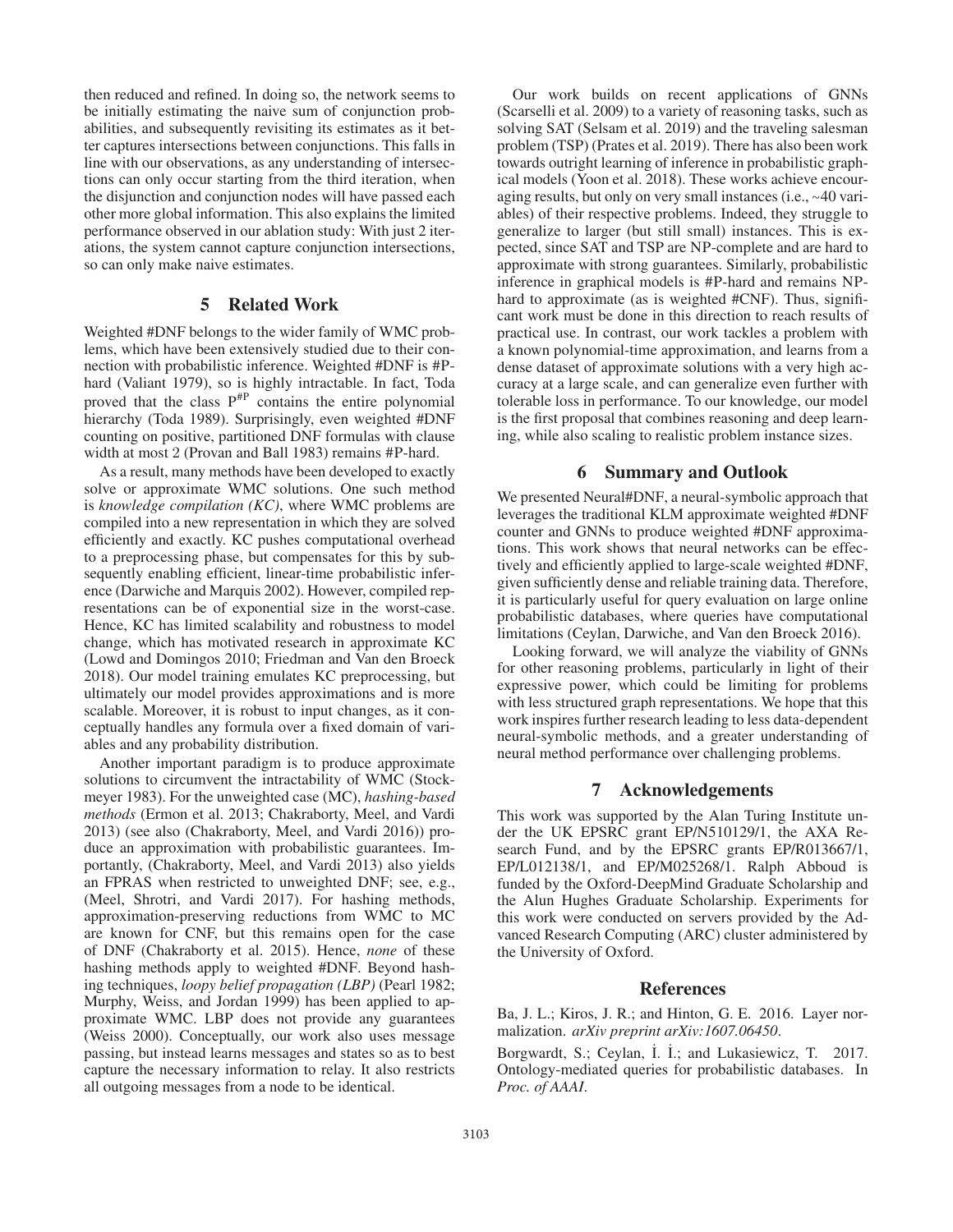then reduced and refined. In doing so, the network seems to be initially estimating the naive sum of conjunction probabilities, and subsequently revisiting its estimates as it better captures intersections between conjunctions. This falls in line with our observations, as any understanding of intersections can only occur starting from the third iteration, when the disjunction and conjunction nodes will have passed each other more global information. This also explains the limited performance observed in our ablation study: With just 2 iterations, the system cannot capture conjunction intersections, so can only make naive estimates.

## 5 Related Work

Weighted #DNF belongs to the wider family of WMC problems, which have been extensively studied due to their connection with probabilistic inference. Weighted #DNF is #Phard (Valiant 1979), so is highly intractable. In fact, Toda proved that the class  $P^{HP}$  contains the entire polynomial hierarchy (Toda 1989). Surprisingly, even weighted #DNF counting on positive, partitioned DNF formulas with clause width at most 2 (Provan and Ball 1983) remains #P-hard.

As a result, many methods have been developed to exactly solve or approximate WMC solutions. One such method is *knowledge compilation (KC)*, where WMC problems are compiled into a new representation in which they are solved efficiently and exactly. KC pushes computational overhead to a preprocessing phase, but compensates for this by subsequently enabling efficient, linear-time probabilistic inference (Darwiche and Marquis 2002). However, compiled representations can be of exponential size in the worst-case. Hence, KC has limited scalability and robustness to model change, which has motivated research in approximate KC (Lowd and Domingos 2010; Friedman and Van den Broeck 2018). Our model training emulates KC preprocessing, but ultimately our model provides approximations and is more scalable. Moreover, it is robust to input changes, as it conceptually handles any formula over a fixed domain of variables and any probability distribution.

Another important paradigm is to produce approximate solutions to circumvent the intractability of WMC (Stockmeyer 1983). For the unweighted case (MC), *hashing-based methods* (Ermon et al. 2013; Chakraborty, Meel, and Vardi 2013) (see also (Chakraborty, Meel, and Vardi 2016)) produce an approximation with probabilistic guarantees. Importantly, (Chakraborty, Meel, and Vardi 2013) also yields an FPRAS when restricted to unweighted DNF; see, e.g., (Meel, Shrotri, and Vardi 2017). For hashing methods, approximation-preserving reductions from WMC to MC are known for CNF, but this remains open for the case of DNF (Chakraborty et al. 2015). Hence, *none* of these hashing methods apply to weighted #DNF. Beyond hashing techniques, *loopy belief propagation (LBP)* (Pearl 1982; Murphy, Weiss, and Jordan 1999) has been applied to approximate WMC. LBP does not provide any guarantees (Weiss 2000). Conceptually, our work also uses message passing, but instead learns messages and states so as to best capture the necessary information to relay. It also restricts all outgoing messages from a node to be identical.

Our work builds on recent applications of GNNs (Scarselli et al. 2009) to a variety of reasoning tasks, such as solving SAT (Selsam et al. 2019) and the traveling salesman problem (TSP) (Prates et al. 2019). There has also been work towards outright learning of inference in probabilistic graphical models (Yoon et al. 2018). These works achieve encouraging results, but only on very small instances (i.e., ∼40 variables) of their respective problems. Indeed, they struggle to generalize to larger (but still small) instances. This is expected, since SAT and TSP are NP-complete and are hard to approximate with strong guarantees. Similarly, probabilistic inference in graphical models is #P-hard and remains NPhard to approximate (as is weighted #CNF). Thus, significant work must be done in this direction to reach results of practical use. In contrast, our work tackles a problem with a known polynomial-time approximation, and learns from a dense dataset of approximate solutions with a very high accuracy at a large scale, and can generalize even further with tolerable loss in performance. To our knowledge, our model is the first proposal that combines reasoning and deep learning, while also scaling to realistic problem instance sizes.

## 6 Summary and Outlook

We presented Neural#DNF, a neural-symbolic approach that leverages the traditional KLM approximate weighted #DNF counter and GNNs to produce weighted #DNF approximations. This work shows that neural networks can be effectively and efficiently applied to large-scale weighted #DNF, given sufficiently dense and reliable training data. Therefore, it is particularly useful for query evaluation on large online probabilistic databases, where queries have computational limitations (Ceylan, Darwiche, and Van den Broeck 2016).

Looking forward, we will analyze the viability of GNNs for other reasoning problems, particularly in light of their expressive power, which could be limiting for problems with less structured graph representations. We hope that this work inspires further research leading to less data-dependent neural-symbolic methods, and a greater understanding of neural method performance over challenging problems.

## 7 Acknowledgements

This work was supported by the Alan Turing Institute under the UK EPSRC grant EP/N510129/1, the AXA Research Fund, and by the EPSRC grants EP/R013667/1, EP/L012138/1, and EP/M025268/1. Ralph Abboud is funded by the Oxford-DeepMind Graduate Scholarship and the Alun Hughes Graduate Scholarship. Experiments for this work were conducted on servers provided by the Advanced Research Computing (ARC) cluster administered by the University of Oxford.

#### References

Ba, J. L.; Kiros, J. R.; and Hinton, G. E. 2016. Layer normalization. *arXiv preprint arXiv:1607.06450*.

Borgwardt, S.; Ceylan, İ. İ.; and Lukasiewicz, T. 2017. Ontology-mediated queries for probabilistic databases. In *Proc. of AAAI*.